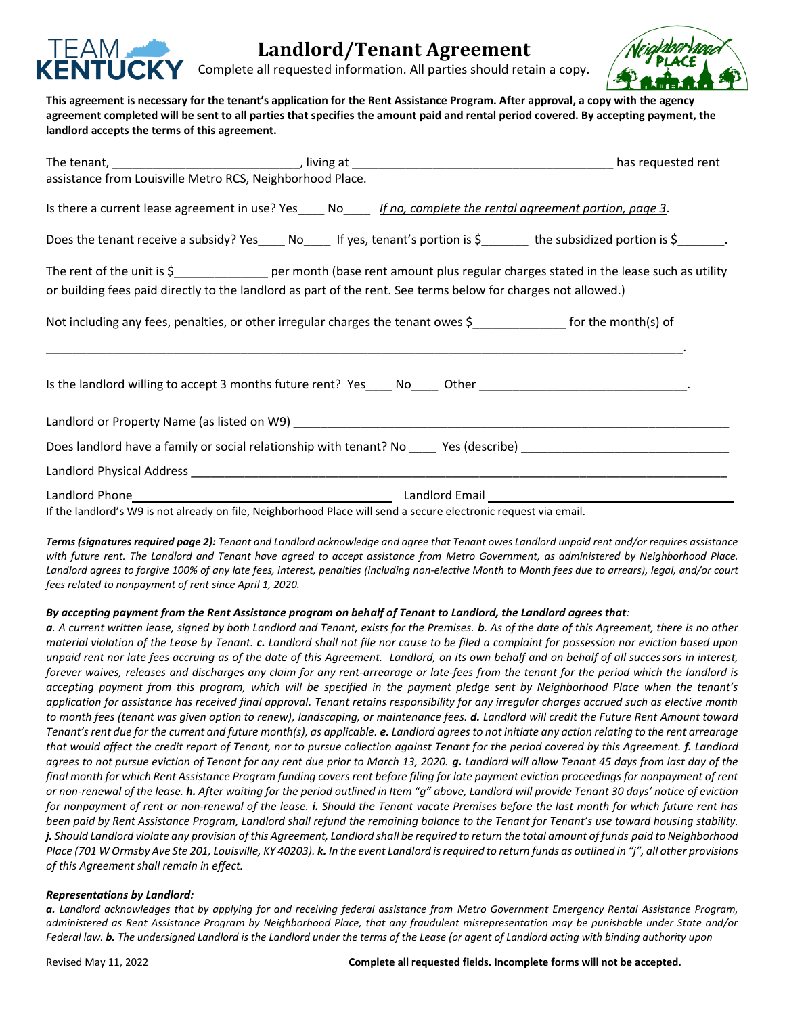

# **Landlord/Tenant Agreement**

Complete all requested information. All parties should retain a copy.



**This agreement is necessary for the tenant's application for the Rent Assistance Program. After approval, a copy with the agency agreement completed will be sent to all parties that specifies the amount paid and rental period covered. By accepting payment, the landlord accepts the terms of this agreement.** 

| assistance from Louisville Metro RCS, Neighborhood Place. |                                                                                                                 |                                                                                                                                     |
|-----------------------------------------------------------|-----------------------------------------------------------------------------------------------------------------|-------------------------------------------------------------------------------------------------------------------------------------|
|                                                           | Is there a current lease agreement in use? Yes____ No____ If no, complete the rental agreement portion, page 3. |                                                                                                                                     |
|                                                           |                                                                                                                 | Does the tenant receive a subsidy? Yes _____ No______ If yes, tenant's portion is \$_________ the subsidized portion is \$________. |
|                                                           |                                                                                                                 | The rent of the unit is \$___________________ per month (base rent amount plus regular charges stated in the lease such as utility  |
|                                                           | or building fees paid directly to the landlord as part of the rent. See terms below for charges not allowed.)   |                                                                                                                                     |
|                                                           |                                                                                                                 |                                                                                                                                     |
|                                                           |                                                                                                                 | Is the landlord willing to accept 3 months future rent? Yes____ No____ Other _____________________________.                         |
|                                                           | Landlord or Property Name (as listed on W9) https://www.com/community.com/community/community/community/commun  |                                                                                                                                     |
|                                                           |                                                                                                                 | Does landlord have a family or social relationship with tenant? No _____ Yes (describe) ____________________________                |
|                                                           |                                                                                                                 |                                                                                                                                     |
|                                                           |                                                                                                                 |                                                                                                                                     |
|                                                           | If the landlord's MQ is not already on file. Neighborhood Place will send a secure electronic request via email |                                                                                                                                     |

If the landlord's W9 is not already on file, Neighborhood Place will send a secure electronic request via email*.*

*Terms (signatures required page 2): Tenant and Landlord acknowledge and agree that Tenant owes Landlord unpaid rent and/or requires assistance with future rent. The Landlord and Tenant have agreed to accept assistance from Metro Government, as administered by Neighborhood Place. Landlord agrees to forgive 100% of any late fees, interest, penalties (including non-elective Month to Month fees due to arrears), legal, and/or court fees related to nonpayment of rent since April 1, 2020.*

### *By accepting payment from the Rent Assistance program on behalf of Tenant to Landlord, the Landlord agrees that:*

*a. A current written lease, signed by both Landlord and Tenant, exists for the Premises. b. As of the date of this Agreement, there is no other material violation of the Lease by Tenant. c. Landlord shall not file nor cause to be filed a complaint for possession nor eviction based upon unpaid rent nor late fees accruing as of the date of this Agreement. Landlord, on its own behalf and on behalf of all successors in interest, forever waives, releases and discharges any claim for any rent-arrearage or late-fees from the tenant for the period which the landlord is accepting payment from this program, which will be specified in the payment pledge sent by Neighborhood Place when the tenant's application for assistance has received final approval. Tenant retains responsibility for any irregular charges accrued such as elective month to month fees (tenant was given option to renew), landscaping, or maintenance fees. d. Landlord will credit the Future Rent Amount toward Tenant's rent due for the current and future month(s), as applicable. e. Landlord agrees to not initiate any action relating to the rent arrearage that would affect the credit report of Tenant, nor to pursue collection against Tenant for the period covered by this Agreement. f. Landlord agrees to not pursue eviction of Tenant for any rent due prior to March 13, 2020. g. Landlord will allow Tenant 45 days from last day of the final month for which Rent Assistance Program funding covers rent before filing for late payment eviction proceedings for nonpayment of rent or non-renewal of the lease. h. After waiting for the period outlined in Item "g" above, Landlord will provide Tenant 30 days' notice of eviction for nonpayment of rent or non-renewal of the lease. i. Should the Tenant vacate Premises before the last month for which future rent has been paid by Rent Assistance Program, Landlord shall refund the remaining balance to the Tenant for Tenant's use toward housing stability. j. Should Landlord violate any provision of this Agreement, Landlord shall be required to return the total amount of funds paid to Neighborhood Place (701 W Ormsby Ave Ste 201, Louisville, KY 40203). k. In the event Landlord is required to return funds as outlined in "j", all other provisions of this Agreement shall remain in effect.*

### *Representations by Landlord:*

*a. Landlord acknowledges that by applying for and receiving federal assistance from Metro Government Emergency Rental Assistance Program, administered as Rent Assistance Program by Neighborhood Place, that any fraudulent misrepresentation may be punishable under State and/or Federal law. b. The undersigned Landlord is the Landlord under the terms of the Lease (or agent of Landlord acting with binding authority upon*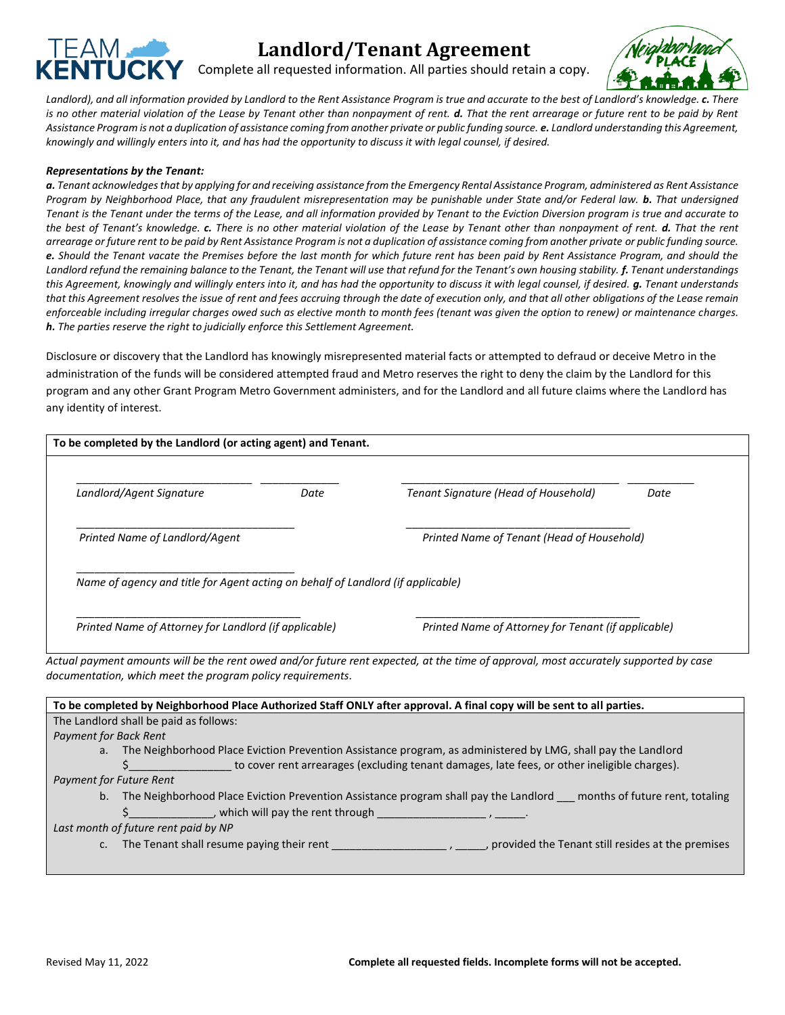

# **Landlord/Tenant Agreement**

Complete all requested information. All parties should retain a copy.



*Landlord), and all information provided by Landlord to the Rent Assistance Program is true and accurate to the best of Landlord's knowledge. c. There is no other material violation of the Lease by Tenant other than nonpayment of rent. d. That the rent arrearage or future rent to be paid by Rent Assistance Program is not a duplication of assistance coming from another private or public funding source. e. Landlord understanding this Agreement, knowingly and willingly enters into it, and has had the opportunity to discuss it with legal counsel, if desired.*

#### *Representations by the Tenant:*

*a. Tenant acknowledges that by applying for and receiving assistance from the Emergency Rental Assistance Program, administered as Rent Assistance Program by Neighborhood Place, that any fraudulent misrepresentation may be punishable under State and/or Federal law. b. That undersigned Tenant is the Tenant under the terms of the Lease, and all information provided by Tenant to the Eviction Diversion program is true and accurate to the best of Tenant's knowledge. c. There is no other material violation of the Lease by Tenant other than nonpayment of rent. d. That the rent arrearage or future rent to be paid by Rent Assistance Program is not a duplication of assistance coming from another private or public funding source. e. Should the Tenant vacate the Premises before the last month for which future rent has been paid by Rent Assistance Program, and should the Landlord refund the remaining balance to the Tenant, the Tenant will use that refund for the Tenant's own housing stability. f. Tenant understandings this Agreement, knowingly and willingly enters into it, and has had the opportunity to discuss it with legal counsel, if desired. g. Tenant understands that this Agreement resolves the issue of rent and fees accruing through the date of execution only, and that all other obligations of the Lease remain enforceable including irregular charges owed such as elective month to month fees (tenant was given the option to renew) or maintenance charges. h. The parties reserve the right to judicially enforce this Settlement Agreement.*

Disclosure or discovery that the Landlord has knowingly misrepresented material facts or attempted to defraud or deceive Metro in the administration of the funds will be considered attempted fraud and Metro reserves the right to deny the claim by the Landlord for this program and any other Grant Program Metro Government administers, and for the Landlord and all future claims where the Landlord has any identity of interest.

| To be completed by the Landlord (or acting agent) and Tenant.                                                                        |      |                                                                                                                         |      |
|--------------------------------------------------------------------------------------------------------------------------------------|------|-------------------------------------------------------------------------------------------------------------------------|------|
|                                                                                                                                      |      |                                                                                                                         |      |
| Landlord/Agent Signature                                                                                                             | Date | Tenant Signature (Head of Household)                                                                                    | Date |
| Printed Name of Landlord/Agent                                                                                                       |      | Printed Name of Tenant (Head of Household)                                                                              |      |
| Name of agency and title for Agent acting on behalf of Landlord (if applicable)                                                      |      |                                                                                                                         |      |
| Printed Name of Attorney for Landlord (if applicable)                                                                                |      | Printed Name of Attorney for Tenant (if applicable)                                                                     |      |
| Actual payment amounts will be the rent owed and/or future rent expected, at the time of approval, most accurately supported by case |      |                                                                                                                         |      |
| documentation, which meet the program policy requirements.                                                                           |      |                                                                                                                         |      |
| To be completed by Neighborhood Place Authorized Staff ONLY after approval. A final copy will be sent to all parties.                |      |                                                                                                                         |      |
| The Landlord shall be paid as follows:                                                                                               |      |                                                                                                                         |      |
| <b>Payment for Back Rent</b>                                                                                                         |      |                                                                                                                         |      |
| a <sub>r</sub>                                                                                                                       |      | The Neighborhood Place Eviction Prevention Assistance program, as administered by LMG, shall pay the Landlord           |      |
|                                                                                                                                      |      | to cover rent arrearages (excluding tenant damages, late fees, or other ineligible charges).                            |      |
| <b>Payment for Future Rent</b>                                                                                                       |      |                                                                                                                         |      |
| b.                                                                                                                                   |      | The Neighborhood Place Eviction Prevention Assistance program shall pay the Landlord __ months of future rent, totaling |      |
| _, which will pay the rent through _                                                                                                 |      |                                                                                                                         |      |
| Last month of future rent paid by NP                                                                                                 |      |                                                                                                                         |      |

c. The Tenant shall resume paying their rent \_\_\_\_\_\_\_\_\_\_\_\_\_\_\_\_\_\_\_\_\_\_, provided the Tenant still resides at the premises